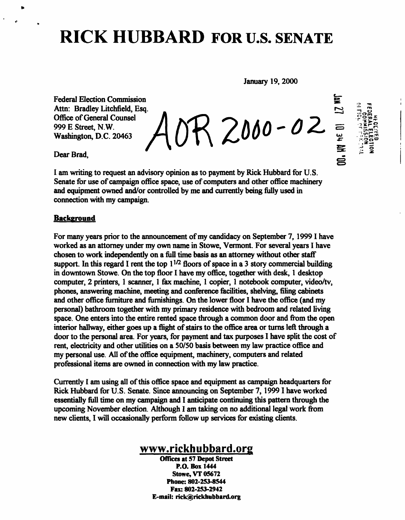## RICK HUBBARD FOR U.S. SENATE

January 19, 2000

« **.** 

Federal Election Commission Attn: Bradley Litchfield, Esq. Office of General Counsel 999 E Street, N.W. Washington, D.C. 20463

R 2000-02

Dear Brad,

 $\bullet$ 

I am writing to request an advisory opinion as to payment by Rick Hubbard for U.S. Senate for use of campaign office space, use of computers and other office machinery and equipment owned and/or controlled by me and currently being fully used in connection with my campaign.

## **Background**

For many years prior to the announcement of my candidacy on September 7, 19991 have worked as an attorney under my own name in Stowe, Vermont. For several years I have chosen to work independently on a full time basis as an attorney without other staff support. In this regard I rent the top  $1^{1/2}$  floors of space in a 3 story commercial building in downtown Stowe. On the top floor I have my office, together with desk, 1 desktop computer, 2 printers, 1 scanner, 1 fax machine, 1 copier, 1 notebook computer, video/tv, phones, answering machine, meeting and conference facilities, shelving, filing cabinets and other office furniture and furnishings. On the lower floor I have the office (and my personal) bathroom together with my primary residence with bedroom and related living space. One enters into the entire rented space through a common door and from the open interior hallway, either goes up a flight of stairs to the office area or turns left through a door to the personal area. For years, for payment and tax purposes I have split the cost of rent, electricity and other utilities on a SO/50 basis between my law practice office and my personal use. All of the office equipment, machinery, computers and related professional items are owned in connection with my law practice.

Currently I am using all of this office space and equipment as campaign headquarters for Rick Hubbard for U.S. Senate. Since announcing on September 7,19991 have worked essentially full time on my campaign and I anticipate continuing this pattern through the upcoming November election. Although I am taking on no additional legal work from new clients, I will occasionally perform follow up services for existing clients.

## www.rickhubbard.org

Offices at 57 Depot Street P.O. Box 1444 Stowe, VT 05672 Phone: 802-253-8544 Fax: 802-253-2942 E-mail: rick@rickhubbard.org